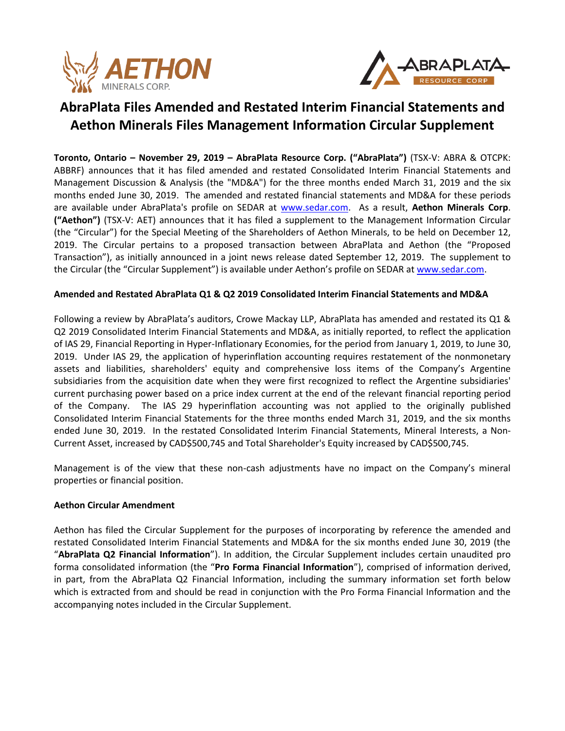



# **AbraPlata Files Amended and Restated Interim Financial Statements and Aethon Minerals Files Management Information Circular Supplement**

**Toronto, Ontario – November 29, 2019 – AbraPlata Resource Corp. ("AbraPlata")** (TSX-V: ABRA & OTCPK: ABBRF) announces that it has filed amended and restated Consolidated Interim Financial Statements and Management Discussion & Analysis (the "MD&A") for the three months ended March 31, 2019 and the six months ended June 30, 2019. The amended and restated financial statements and MD&A for these periods are available under AbraPlata's profile on SEDAR at [www.sedar.com.](about:blank) As a result, **Aethon Minerals Corp**. **("Aethon")** (TSX-V: AET) announces that it has filed a supplement to the Management Information Circular (the "Circular") for the Special Meeting of the Shareholders of Aethon Minerals, to be held on December 12, 2019. The Circular pertains to a proposed transaction between AbraPlata and Aethon (the "Proposed Transaction"), as initially announced in a joint news release dated September 12, 2019. The supplement to the Circular (the "Circular Supplement") is available under Aethon's profile on SEDAR a[t www.sedar.com.](about:blank)

# **Amended and Restated AbraPlata Q1 & Q2 2019 Consolidated Interim Financial Statements and MD&A**

Following a review by AbraPlata's auditors, Crowe Mackay LLP, AbraPlata has amended and restated its Q1 & Q2 2019 Consolidated Interim Financial Statements and MD&A, as initially reported, to reflect the application of IAS 29, Financial Reporting in Hyper-Inflationary Economies, for the period from January 1, 2019, to June 30, 2019. Under IAS 29, the application of hyperinflation accounting requires restatement of the nonmonetary assets and liabilities, shareholders' equity and comprehensive loss items of the Company's Argentine subsidiaries from the acquisition date when they were first recognized to reflect the Argentine subsidiaries' current purchasing power based on a price index current at the end of the relevant financial reporting period of the Company. The IAS 29 hyperinflation accounting was not applied to the originally published Consolidated Interim Financial Statements for the three months ended March 31, 2019, and the six months ended June 30, 2019. In the restated Consolidated Interim Financial Statements, Mineral Interests, a Non-Current Asset, increased by CAD\$500,745 and Total Shareholder's Equity increased by CAD\$500,745.

Management is of the view that these non-cash adjustments have no impact on the Company's mineral properties or financial position.

# **Aethon Circular Amendment**

Aethon has filed the Circular Supplement for the purposes of incorporating by reference the amended and restated Consolidated Interim Financial Statements and MD&A for the six months ended June 30, 2019 (the "**AbraPlata Q2 Financial Information**"). In addition, the Circular Supplement includes certain unaudited pro forma consolidated information (the "**Pro Forma Financial Information**"), comprised of information derived, in part, from the AbraPlata Q2 Financial Information, including the summary information set forth below which is extracted from and should be read in conjunction with the Pro Forma Financial Information and the accompanying notes included in the Circular Supplement.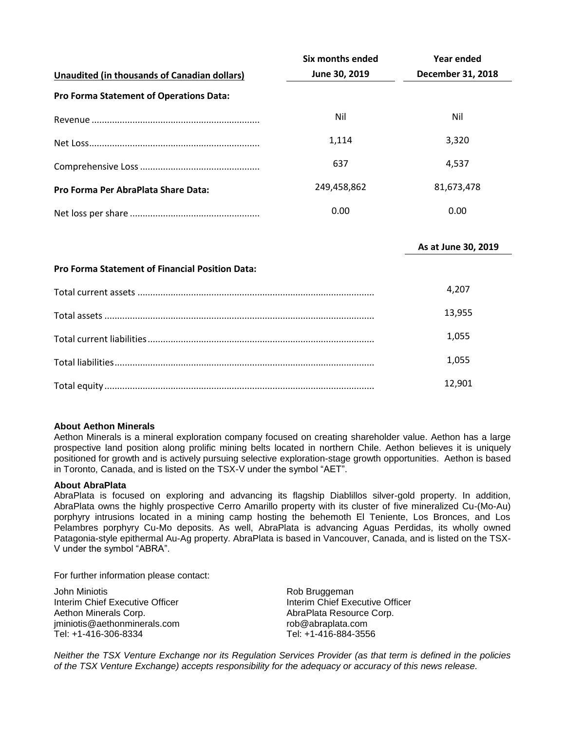|                                                        | Six months ended | <b>Year ended</b>   |
|--------------------------------------------------------|------------------|---------------------|
| <b>Unaudited (in thousands of Canadian dollars)</b>    | June 30, 2019    | December 31, 2018   |
| Pro Forma Statement of Operations Data:                |                  |                     |
|                                                        | Nil              | Nil                 |
|                                                        | 1,114            | 3,320               |
|                                                        | 637              | 4,537               |
| Pro Forma Per AbraPlata Share Data:                    | 249,458,862      | 81,673,478          |
|                                                        | 0.00             | 0.00                |
|                                                        |                  | As at June 30, 2019 |
| <b>Pro Forma Statement of Financial Position Data:</b> |                  |                     |
|                                                        |                  | 4,207               |
|                                                        |                  | 13,955              |
|                                                        |                  | 1,055               |

| 1.055  |
|--------|
| 12.901 |

### **About Aethon Minerals**

Aethon Minerals is a mineral exploration company focused on creating shareholder value. Aethon has a large prospective land position along prolific mining belts located in northern Chile. Aethon believes it is uniquely positioned for growth and is actively pursuing selective exploration-stage growth opportunities. Aethon is based in Toronto, Canada, and is listed on the TSX-V under the symbol "AET".

### **About AbraPlata**

AbraPlata is focused on exploring and advancing its flagship Diablillos silver-gold property. In addition, AbraPlata owns the highly prospective Cerro Amarillo property with its cluster of five mineralized Cu-(Mo-Au) porphyry intrusions located in a mining camp hosting the behemoth El Teniente, Los Bronces, and Los Pelambres porphyry Cu-Mo deposits. As well, AbraPlata is advancing Aguas Perdidas, its wholly owned Patagonia-style epithermal Au-Ag property. AbraPlata is based in Vancouver, Canada, and is listed on the TSX-V under the symbol "ABRA".

For further information please contact:

John Miniotis **Rob Bruggeman** Interim Chief Executive Officer **Interim Chief Executive Officer** Interim Chief Executive Officer Aethon Minerals Corp. **AbraPlata Resource Corp.** AbraPlata Resource Corp. jminiotis@aethonminerals.com rob@abraplata.com Tel: +1-416-306-8334 Tel: +1-416-884-3556

Neither the TSX Venture Exchange nor its Regulation Services Provider (as that term is defined in the policies *of the TSX Venture Exchange) accepts responsibility for the adequacy or accuracy of this news release.*